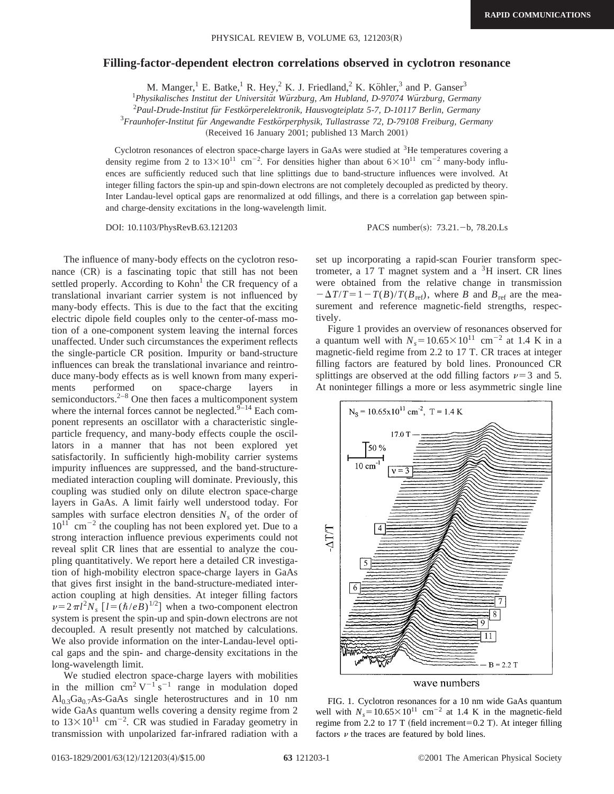## **Filling-factor-dependent electron correlations observed in cyclotron resonance**

M. Manger,<sup>1</sup> E. Batke,<sup>1</sup> R. Hey,<sup>2</sup> K. J. Friedland,<sup>2</sup> K. Köhler,<sup>3</sup> and P. Ganser<sup>3</sup>

<sup>1</sup>Physikalisches Institut der Universität Würzburg, Am Hubland, D-97074 Würzburg, Germany

2 *Paul-Drude-Institut fu¨r Festko¨rperelektronik, Hausvogteiplatz 5-7, D-10117 Berlin, Germany*

<sup>3</sup> Fraunhofer-Institut für Angewandte Festkörperphysik, Tullastrasse 72, D-79108 Freiburg, Germany

(Received 16 January 2001; published 13 March 2001)

Cyclotron resonances of electron space-charge layers in GaAs were studied at 3He temperatures covering a density regime from 2 to  $13\times10^{11}$  cm<sup>-2</sup>. For densities higher than about  $6\times10^{11}$  cm<sup>-2</sup> many-body influences are sufficiently reduced such that line splittings due to band-structure influences were involved. At integer filling factors the spin-up and spin-down electrons are not completely decoupled as predicted by theory. Inter Landau-level optical gaps are renormalized at odd fillings, and there is a correlation gap between spinand charge-density excitations in the long-wavelength limit.

DOI: 10.1103/PhysRevB.63.121203 PACS number(s): 73.21. - b, 78.20.Ls

The influence of many-body effects on the cyclotron resonance  $(CR)$  is a fascinating topic that still has not been settled properly. According to Kohn<sup>1</sup> the CR frequency of a translational invariant carrier system is not influenced by many-body effects. This is due to the fact that the exciting electric dipole field couples only to the center-of-mass motion of a one-component system leaving the internal forces unaffected. Under such circumstances the experiment reflects the single-particle CR position. Impurity or band-structure influences can break the translational invariance and reintroduce many-body effects as is well known from many experiments performed on space-charge layers in semiconductors. $2^{-8}$  One then faces a multicomponent system where the internal forces cannot be neglected. $9-14$  Each component represents an oscillator with a characteristic singleparticle frequency, and many-body effects couple the oscillators in a manner that has not been explored yet satisfactorily. In sufficiently high-mobility carrier systems impurity influences are suppressed, and the band-structuremediated interaction coupling will dominate. Previously, this coupling was studied only on dilute electron space-charge layers in GaAs. A limit fairly well understood today. For samples with surface electron densities  $N<sub>s</sub>$  of the order of  $10^{11}$  cm<sup>-2</sup> the coupling has not been explored yet. Due to a strong interaction influence previous experiments could not reveal split CR lines that are essential to analyze the coupling quantitatively. We report here a detailed CR investigation of high-mobility electron space-charge layers in GaAs that gives first insight in the band-structure-mediated interaction coupling at high densities. At integer filling factors  $\nu=2\pi l^2 N_s$  [ $l=(\hbar/eB)^{1/2}$ ] when a two-component electron system is present the spin-up and spin-down electrons are not decoupled. A result presently not matched by calculations. We also provide information on the inter-Landau-level optical gaps and the spin- and charge-density excitations in the long-wavelength limit.

We studied electron space-charge layers with mobilities in the million  $\text{cm}^2 \text{ V}^{-1} \text{ s}^{-1}$  range in modulation doped  $Al<sub>0.3</sub>Ga<sub>0.7</sub>As-GaAs single heterostructures and in 10 nm$ wide GaAs quantum wells covering a density regime from 2 to  $13 \times 10^{11}$  cm<sup>-2</sup>. CR was studied in Faraday geometry in transmission with unpolarized far-infrared radiation with a

set up incorporating a rapid-scan Fourier transform spectrometer, a 17 T magnet system and a  ${}^{3}$ H insert. CR lines were obtained from the relative change in transmission  $-\Delta T/T = 1 - T(B)/T(B_{ref})$ , where *B* and  $B_{ref}$  are the measurement and reference magnetic-field strengths, respectively.

Figure 1 provides an overview of resonances observed for a quantum well with  $N_s = 10.65 \times 10^{11}$  cm<sup>-2</sup> at 1.4 K in a magnetic-field regime from 2.2 to 17 T. CR traces at integer filling factors are featured by bold lines. Pronounced CR splittings are observed at the odd filling factors  $\nu=3$  and 5. At noninteger fillings a more or less asymmetric single line



wave numbers

FIG. 1. Cyclotron resonances for a 10 nm wide GaAs quantum well with  $N_s = 10.65 \times 10^{11}$  cm<sup>-2</sup> at 1.4 K in the magnetic-field regime from 2.2 to 17 T (field increment=0.2 T). At integer filling factors  $\nu$  the traces are featured by bold lines.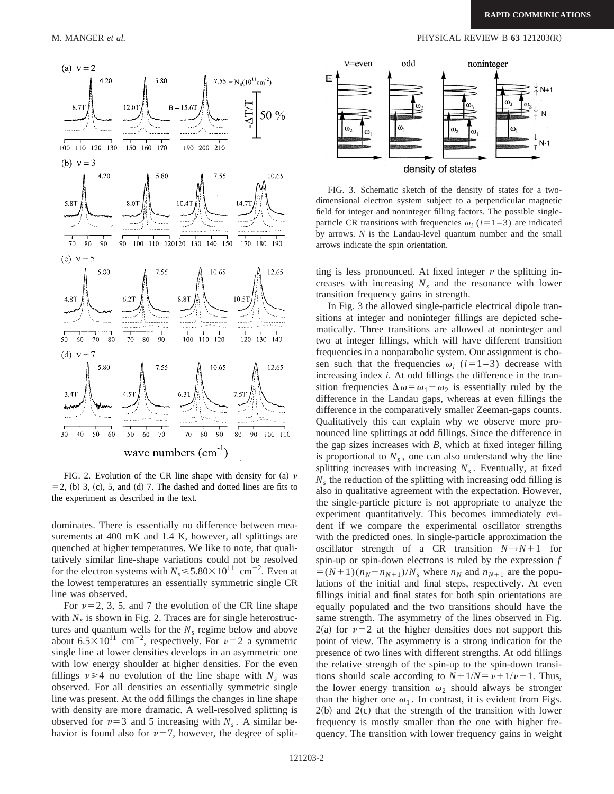

FIG. 2. Evolution of the CR line shape with density for (a)  $\nu$  $=$  2, (b) 3, (c), 5, and (d) 7. The dashed and dotted lines are fits to the experiment as described in the text.

dominates. There is essentially no difference between measurements at 400 mK and 1.4 K, however, all splittings are quenched at higher temperatures. We like to note, that qualitatively similar line-shape variations could not be resolved for the electron systems with  $N_s \le 5.80 \times 10^{11}$  cm<sup>-2</sup>. Even at the lowest temperatures an essentially symmetric single CR line was observed.

For  $\nu=2, 3, 5,$  and 7 the evolution of the CR line shape with  $N_s$  is shown in Fig. 2. Traces are for single heterostructures and quantum wells for the  $N<sub>s</sub>$  regime below and above about  $6.5 \times 10^{11}$  cm<sup>-2</sup>, respectively. For  $\nu=2$  a symmetric single line at lower densities develops in an asymmetric one with low energy shoulder at higher densities. For the even fillings  $\nu \geq 4$  no evolution of the line shape with  $N_s$  was observed. For all densities an essentially symmetric single line was present. At the odd fillings the changes in line shape with density are more dramatic. A well-resolved splitting is observed for  $\nu=3$  and 5 increasing with *N<sub>s</sub>*. A similar behavior is found also for  $\nu=7$ , however, the degree of split-



FIG. 3. Schematic sketch of the density of states for a twodimensional electron system subject to a perpendicular magnetic field for integer and noninteger filling factors. The possible singleparticle CR transitions with frequencies  $\omega_i$  ( $i=1-3$ ) are indicated by arrows. *N* is the Landau-level quantum number and the small arrows indicate the spin orientation.

ting is less pronounced. At fixed integer  $\nu$  the splitting increases with increasing  $N_s$  and the resonance with lower transition frequency gains in strength.

In Fig. 3 the allowed single-particle electrical dipole transitions at integer and noninteger fillings are depicted schematically. Three transitions are allowed at noninteger and two at integer fillings, which will have different transition frequencies in a nonparabolic system. Our assignment is chosen such that the frequencies  $\omega_i$  ( $i=1-3$ ) decrease with increasing index *i*. At odd fillings the difference in the transition frequencies  $\Delta \omega = \omega_1 - \omega_2$  is essentially ruled by the difference in the Landau gaps, whereas at even fillings the difference in the comparatively smaller Zeeman-gaps counts. Qualitatively this can explain why we observe more pronounced line splittings at odd fillings. Since the difference in the gap sizes increases with *B*, which at fixed integer filling is proportional to  $N<sub>s</sub>$ , one can also understand why the line splitting increases with increasing  $N<sub>s</sub>$ . Eventually, at fixed  $N<sub>s</sub>$  the reduction of the splitting with increasing odd filling is also in qualitative agreement with the expectation. However, the single-particle picture is not appropriate to analyze the experiment quantitatively. This becomes immediately evident if we compare the experimental oscillator strengths with the predicted ones. In single-particle approximation the oscillator strength of a CR transition  $N \rightarrow N+1$  for spin-up or spin-down electrons is ruled by the expression *f*  $=(N+1)(n_N-n_{N+1})/N_s$  where  $n_N$  and  $n_{N+1}$  are the populations of the initial and final steps, respectively. At even fillings initial and final states for both spin orientations are equally populated and the two transitions should have the same strength. The asymmetry of the lines observed in Fig.  $2(a)$  for  $\nu=2$  at the higher densities does not support this point of view. The asymmetry is a strong indication for the presence of two lines with different strengths. At odd fillings the relative strength of the spin-up to the spin-down transitions should scale according to  $N+1/N = \nu + 1/\nu - 1$ . Thus, the lower energy transition  $\omega_2$  should always be stronger than the higher one  $\omega_1$ . In contrast, it is evident from Figs.  $2(b)$  and  $2(c)$  that the strength of the transition with lower frequency is mostly smaller than the one with higher frequency. The transition with lower frequency gains in weight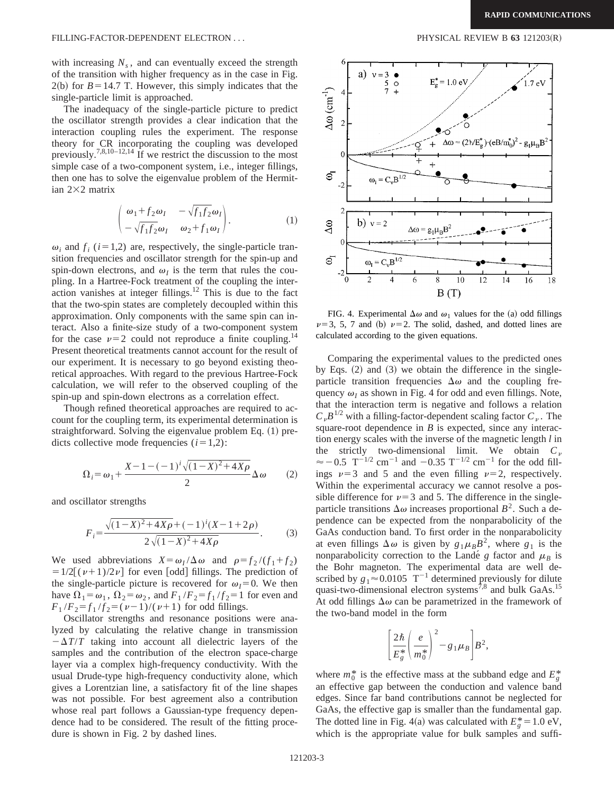with increasing  $N_s$ , and can eventually exceed the strength of the transition with higher frequency as in the case in Fig.  $2(b)$  for  $B=14.7$  T. However, this simply indicates that the single-particle limit is approached.

The inadequacy of the single-particle picture to predict the oscillator strength provides a clear indication that the interaction coupling rules the experiment. The response theory for CR incorporating the coupling was developed previously.<sup>7,8,10–12,14</sup> If we restrict the discussion to the most simple case of a two-component system, i.e., integer fillings, then one has to solve the eigenvalue problem of the Hermitian  $2\times2$  matrix

$$
\begin{pmatrix}\n\omega_1 + f_2 \omega_I & -\sqrt{f_1 f_2} \omega_I \\
-\sqrt{f_1 f_2} \omega_I & \omega_2 + f_1 \omega_I\n\end{pmatrix}.
$$
\n(1)

 $\omega_i$  and  $f_i$  ( $i=1,2$ ) are, respectively, the single-particle transition frequencies and oscillator strength for the spin-up and spin-down electrons, and  $\omega_I$  is the term that rules the coupling. In a Hartree-Fock treatment of the coupling the interaction vanishes at integer fillings.<sup>12</sup> This is due to the fact that the two-spin states are completely decoupled within this approximation. Only components with the same spin can interact. Also a finite-size study of a two-component system for the case  $\nu=2$  could not reproduce a finite coupling.<sup>14</sup> Present theoretical treatments cannot account for the result of our experiment. It is necessary to go beyond existing theoretical approaches. With regard to the previous Hartree-Fock calculation, we will refer to the observed coupling of the spin-up and spin-down electrons as a correlation effect.

Though refined theoretical approaches are required to account for the coupling term, its experimental determination is straightforward. Solving the eigenvalue problem Eq.  $(1)$  predicts collective mode frequencies  $(i=1,2)$ :

$$
\Omega_i = \omega_1 + \frac{X - 1 - (-1)^i \sqrt{(1 - X)^2 + 4X\rho}}{2} \Delta \omega \qquad (2)
$$

and oscillator strengths

$$
F_i = \frac{\sqrt{(1-X)^2 + 4X\rho} + (-1)^i (X - 1 + 2\rho)}{2\sqrt{(1-X)^2 + 4X\rho}}.
$$
 (3)

We used abbreviations  $X = \omega_I/\Delta \omega$  and  $\rho = f_2/(f_1 + f_2)$  $=1/2[(\nu+1)/2\nu]$  for even [odd] fillings. The prediction of the single-particle picture is recovered for  $\omega_I=0$ . We then have  $\Omega_1 = \omega_1$ ,  $\Omega_2 = \omega_2$ , and  $F_1 / F_2 = f_1 / f_2 = 1$  for even and  $F_1 / F_2 = f_1 / f_2 = (\nu - 1) / (\nu + 1)$  for odd fillings.

Oscillator strengths and resonance positions were analyzed by calculating the relative change in transmission  $-\Delta T/T$  taking into account all dielectric layers of the samples and the contribution of the electron space-charge layer via a complex high-frequency conductivity. With the usual Drude-type high-frequency conductivity alone, which gives a Lorentzian line, a satisfactory fit of the line shapes was not possible. For best agreement also a contribution whose real part follows a Gaussian-type frequency dependence had to be considered. The result of the fitting procedure is shown in Fig. 2 by dashed lines.



FIG. 4. Experimental  $\Delta\omega$  and  $\omega_1$  values for the (a) odd fillings  $\nu=3, 5, 7$  and (b)  $\nu=2$ . The solid, dashed, and dotted lines are calculated according to the given equations.

Comparing the experimental values to the predicted ones by Eqs.  $(2)$  and  $(3)$  we obtain the difference in the singleparticle transition frequencies  $\Delta\omega$  and the coupling frequency  $\omega_I$  as shown in Fig. 4 for odd and even fillings. Note, that the interaction term is negative and follows a relation  $C_{\nu}B^{1/2}$  with a filling-factor-dependent scaling factor  $C_{\nu}$ . The square-root dependence in *B* is expected, since any interaction energy scales with the inverse of the magnetic length *l* in the strictly two-dimensional limit. We obtain  $C_p$  $\approx$  -0.5 T<sup>-1/2</sup> cm<sup>-1</sup> and -0.35 T<sup>-1/2</sup> cm<sup>-1</sup> for the odd fillings  $\nu=3$  and 5 and the even filling  $\nu=2$ , respectively. Within the experimental accuracy we cannot resolve a possible difference for  $\nu=3$  and 5. The difference in the singleparticle transitions  $\Delta\omega$  increases proportional  $B^2$ . Such a dependence can be expected from the nonparabolicity of the GaAs conduction band. To first order in the nonparabolicity at even fillings  $\Delta \omega$  is given by  $g_1 \mu_B B^2$ , where  $g_1$  is the nonparabolicity correction to the Landé  $g$  factor and  $\mu_B$  is the Bohr magneton. The experimental data are well described by  $g_1 \approx 0.0105$  T<sup>-1</sup> determined previously for dilute quasi-two-dimensional electron systems<sup>7,8</sup> and bulk GaAs.<sup>15</sup> At odd fillings  $\Delta\omega$  can be parametrized in the framework of the two-band model in the form

$$
\left[\frac{2\hbar}{E_g^*}\left(\frac{e}{m_0^*}\right)^2-g_1\mu_B\right]B^2,
$$

where  $m_0^*$  is the effective mass at the subband edge and  $E_g^*$ an effective gap between the conduction and valence band edges. Since far band contributions cannot be neglected for GaAs, the effective gap is smaller than the fundamental gap. The dotted line in Fig. 4(a) was calculated with  $E_g^* = 1.0 \text{ eV}$ , which is the appropriate value for bulk samples and suffi